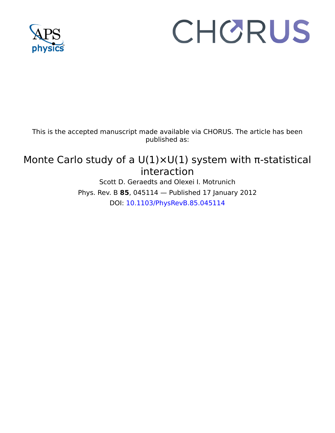

# CHORUS

This is the accepted manuscript made available via CHORUS. The article has been published as:

# Monte Carlo study of a  $U(1)\times U(1)$  system with π-statistical interaction

Scott D. Geraedts and Olexei I. Motrunich Phys. Rev. B **85**, 045114 — Published 17 January 2012 DOI: [10.1103/PhysRevB.85.045114](http://dx.doi.org/10.1103/PhysRevB.85.045114)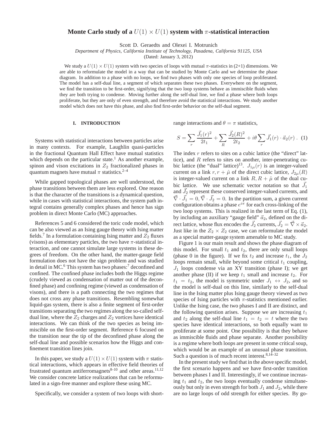# **Monte Carlo study of a**  $U(1) \times U(1)$  system with  $\pi$ -statistical interaction

Scott D. Geraedts and Olexei I. Motrunich

*Department of Physics, California Institute of Technology, Pasadena, California 91125, USA*

(Dated: January 3, 2012)

We study a  $U(1) \times U(1)$  system with two species of loops with mutual  $\pi$ -statistics in (2+1) dimensions. We are able to reformulate the model in a way that can be studied by Monte Carlo and we determine the phase diagram. In addition to a phase with no loops, we find two phases with only one species of loop proliferated. The model has a self-dual line, a segment of which separates these two phases. Everywhere on the segment, we find the transition to be first-order, signifying that the two loop systems behave as immiscible fluids when they are both trying to condense. Moving further along the self-dual line, we find a phase where both loops proliferate, but they are only of even strength, and therefore avoid the statistical interactions. We study another model which does not have this phase, and also find first-order behavior on the self-dual segment.

### **I. INTRODUCTION**

range interactions and  $\theta = \pi$  statistics,

Systems with statistical interactions between particles arise in many contexts. For example, Laughlin quasi-particles in the fractional Quantum Hall Effect have mutual statistics which depends on the particular state.<sup>1</sup> As another example, spinon and vison excitations in  $Z_2$  fractionalized phases in quantum magnets have mutual  $\pi$  statistics.<sup>2–4</sup>

While gapped topological phases are well understood, the phase transitions between them are less explored. One reason is that the character of the transitions is a dynamical question, while in cases with statistical interactions, the system path integral contains generally complex phases and hence has sign problem in direct Monte Carlo (MC) approaches.

istical interactions between particles arise  $S = \sum_{r} \frac{\vec{J}_1(r)^2}{2t_1} + \sum_{r}$ <br>For example, Laughlin quasi-particles<br>nantum Hall Effect have mutual statistics The index *r* refers to s<br>he particular state.<sup>1</sup> As another ex **I. INTRODUCTION**<br>
For the statistical interactions between particles arise<br>
with statistical interactions between particles arise<br>  $S = \sum_{\rho} \frac{J_1(r)^2}{2t_1} + \sum_{R'} \frac{J_2(R)^2}{2t_2} + i\theta \sum_{\rho} \frac{J_1(r) \cdot d_2(r)}{r}$ <br>
for the parti References 5 and 6 considered the toric code model, which can be also viewed as an Ising gauge theory with Ising matter fields.<sup>7</sup> In a formulation containing Ising matter and  $Z_2$  fluxes (visons) as elementary particles, the two have  $\pi$ -statistical interaction, and one cannot simulate large systems in these degrees of freedom. On the other hand, the matter-gauge field formulation does not have the sign problem and was studied in detail in MC.<sup>6</sup> This system has two phases:<sup>7</sup> deconfined and confined. The confined phase includes both the Higgs regime (crudely viewed as condensation of matter out of the deconfined phase) and confining regime (viewed as condensation of visons), and there is a path connecting the two regimes that does not cross any phase transitions. Resembling somewhat liquid-gas system, there is also a finite segment of first-order transitions separating the two regimes along the so-called selfdual line, where the  $Z_2$  charges and  $Z_2$  vortices have identical interactions. We can think of the two species as being immiscible on the first-order segment. Reference 6 focused on the transition near the tip of the deconfined phase along the self-dual line and possible scenarios how the Higgs and confinement transition lines join.

In this paper, we study a  $U(1) \times U(1)$  system with  $\pi$  statistical interactions, which appears in effective field theories of frustrated quantum antiferromagnets<sup>8-10</sup> and other areas.<sup>11,12</sup> We consider concrete lattice realizations that can be reformulated in a sign-free manner and explore these using MC.

Specifically, we consider a system of two loops with short-

$$
S = \sum_{r} \frac{\vec{J}_1(r)^2}{2t_1} + \sum_{R} \frac{\vec{J}_2(R)^2}{2t_2} + i\theta \sum_{r} \vec{J}_1(r) \cdot \vec{a}_2(r) \,.
$$
 (1)

The index  $r$  refers to sites on a cubic lattice (the "direct" lattice), and  $R$  refers to sites on another, inter-penetrating cubic lattice (the "dual" lattice)<sup>13</sup>.  $J_{1\mu}(r)$  is an integer-valued current on a link  $r, r + \hat{\mu}$  of the direct cubic lattice,  $J_{2\mu}(R)$ is integer-valued current on a link  $R, R + \hat{\mu}$  of the dual cubic lattice. We use schematic vector notation so that  $\vec{J}_1$ and  $\vec{J}_2$  represent these conserved integer-valued currents, and  $\vec{\nabla} \cdot \vec{J}_1 = 0$ ,  $\vec{\nabla} \cdot \vec{J}_2 = 0$ . In the partition sum, a given current configuration obtains a phase  $e^{i\pi}$  for each cross-linking of the two loop systems. This is realized in the last term of Eq. (1), by including an auxiliary "gauge field"  $\vec{a}_2$ , defined on the direct lattice, whose flux encodes the  $\vec{J}_2$  currents,  $\vec{J}_2 = \vec{\nabla} \times \vec{a}_2$ . Just like in the  $Z_2 \times Z_2$  case, we can reformulate the model as a special matter-gauge system amenable to MC study.

Figure 1 is our main result and shows the phase diagram of this model. For small  $t_1$  and  $t_2$ , there are only small loops (phase 0 in the figure). If we fix  $t_2$  and increase  $t_1$ , the  $J_2$ loops remain small, while beyond some critical  $t_1$  coupling,  $J_1$  loops condense via an XY transition (phase I); we get another phase (II) if we keep  $t_1$  small and increase  $t_2$ . For  $t_1 = t_2$ , the model is symmetric under  $J_1 \leftrightarrow J_2$ , and so the model is self-dual on this line, similarly to the self-dual line in the Ising matter plus Ising gauge theory viewed as two species of Ising particles with  $\pi$ -statistics mentioned earlier. Unlike the Ising case, the two phases I and II are distinct, and the following question arises. Suppose we are increasing  $t_1$ and  $t_2$  along the self-dual line  $t_1 = t_2 = t$  where the two species have identical interactions, so both equally want to proliferate at some point. One possibility is that they behave as immiscible fluids and phase separate. Another possibility is a regime where both loops are present in some critical soup, which would be an example of an unusual phase transition. Such a question is of much recent interest.  $8,14-32$ 

In the present study we find that in the above specific model, the first scenario happens and we have first-order transition between phases I and II. Interestingly, if we continue increasing  $t_1$  and  $t_2$ , the two loops eventually condense simultaneously but only in even strength for both  $J_1$  and  $J_2$ , while there are no large loops of odd strength for either species. By go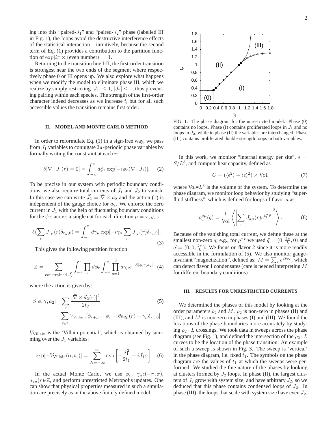ing into this "paired- $J_1$ " and "paired- $J_2$ " phase (labelled III in Fig. 1), the loops avoid the destructive interference effects of the statistical interaction – intuitively, because the second term of Eq. (1) provides a contribution to the partition function of  $\exp[i\pi \times (\text{even number})] = 1$ .

Returning to the transition line I-II, the first-order transition is strongest near the two ends of the segment where respectively phase 0 or III opens up. We also explore what happens when we modify the model to eliminate phase III, which we realize by simply restricting  $|J_1| \leq 1$ ,  $|J_2| \leq 1$ , thus preventing pairing within each species. The strength of the first-order character indeed decreases as we increase  $t$ , but for all such accessible values the transition remains first order.

#### **II. MODEL AND MONTE CARLO METHOD**

In order to reformulate Eq.  $(1)$  in a sign-free way, we pass from  $J_1$  variables to conjugate  $2\pi$ -periodic phase variables by formally writing the constraint at each  $r$ :

$$
\delta[\vec{\nabla} \cdot \vec{J}_1(r) = 0] = \int_{-\pi}^{\pi} d\phi_r \exp[-i\phi_r(\vec{\nabla} \cdot \vec{J}_1)]. \quad (2)
$$

To be precise in our system with periodic boundary conditions, we also require total currents of  $J_1$  and  $J_2$  to vanish. In this case we can write  $\vec{J}_2 = \vec{\nabla} \times \vec{a}_2$  and the action (1) is independent of the gauge choice for  $a_2$ . We enforce the zero current in  $J_1$  with the help of fluctuating boundary conditions for the  $\phi$ -s across a single cut for each direction  $\mu = x, y, z$ 

$$
\delta(\sum_r J_{1\mu}(r)\delta_{r_{\mu},0}) = \int_{-\pi}^{\pi} d\gamma_{\mu} \exp[-i\gamma_{\mu} \sum_r J_{1\mu}(r)\delta_{r_{\mu},0}].
$$
\n(3)

This gives the following partition function:

$$
Z = \sum_{\text{constrained } \vec{J}_2} \int_{-\pi}^{\pi} \prod_r d\phi_r \int_{-\pi}^{\pi} \prod_{\mu=1}^{3} d\gamma_{\mu} e^{-S[\phi, \gamma, a_2]} \tag{4}
$$

where the action is given by:

$$
S[\phi, \gamma, a_2] = \sum_r \frac{[\vec{\nabla} \times \vec{a}_2(r)]^2}{2t_2} + \sum_{r,\mu} V_{\text{Villain}}[\phi_{r+\mu} - \phi_r - \theta a_{2\mu}(r) - \gamma_\mu \delta_{r_\mu,0}]
$$
(5)

 $V_{\text{Villain}}$  is the 'Villain potential', which is obtained by summing over the  $J_1$  variables:

$$
\exp[-V_{\text{Villain}}(\alpha, t_1)] = \sum_{J_1 = -\infty}^{\infty} \exp\left[-\frac{J_1^2}{2t_1} + iJ_1\alpha\right]
$$
 (6)

In the actual Monte Carlo, we use  $\phi_r$ ,  $\gamma_\mu \epsilon(-\pi, \pi)$ ,  $a_{2\mu}(r)\in\mathbb{Z}$ , and perform unrestricted Metropolis updates. One can show that physical properties measured in such a simulation are precisely as in the above finitely defined model.



FIG. 1. The phase diagram for the unrestricted model. Phase (0) contains no loops. Phase (I) contains proliferated loops in  $J_1$  and no loops in  $J_2$ , while in phase (II) the variables are interchanged. Phase (III) contains proliferated double-strength loops in both variables.

In this work, we monitor "internal energy per site",  $\epsilon$  =  $S/L<sup>3</sup>$ , and compute heat capacity, defined as

$$
C = (\langle \epsilon^2 \rangle - \langle \epsilon \rangle^2) \times \text{Vol},\tag{7}
$$

where  $Vol=L^3$  is the volume of the system. To determine the phase diagram, we monitor loop behavior by studying "superfluid stiffness", which is defined for loops of flavor  $a$  as:

$$
\rho_a^{\mu\mu}(q) = \frac{1}{\text{Vol}} \left\langle \left| \sum_r J_{a\mu}(r) e^{i\vec{q}\cdot\vec{r}} \right|^2 \right\rangle. \tag{8}
$$

Because of the vanishing total current, we define these at the smallest non-zero q; e.g., for  $\rho^{xx}$  we used  $\vec{q} = (0, \frac{2\pi}{L}, 0)$  and  $\vec{q} = (0, 0, \frac{2\pi}{L})$ . We focus on flavor 2 since it is more readily accessible in the formulation of (5). We also monitor gaugeinvariant "magnetization", defined as:  $M = \sum_{r} e^{2i\phi_r}$ , which can detect flavor 1 condensates (care is needed interpreting M for different boundary conditions).

#### **III. RESULTS FOR UNRESTRICTED CURRENTS**

We determined the phases of this model by looking at the order parameters  $\rho_2$  and M.  $\rho_2$  is non-zero in phases (II) and (III), and  $M$  is non-zero in phases (I) and (III). We found the locations of the phase boundaries more accurately by studying  $\rho_2 \cdot L$  crossings. We took data in sweeps across the phase diagram (see Fig. 1), and defined the intersection of the  $\rho_2 \cdot L$ curves to be the location of the phase transition. An example of such a sweep is shown in Fig. 3. The sweep is 'vertical' in the phase diagram, i.e. fixed  $t_1$ . The symbols on the phase diagram are the values of  $t_1$  at which the sweeps were performed. We studied the fine nature of the phases by looking at clusters formed by  $J_2$  loops. In phase (II), the largest clusters of  $J_2$  grow with system size, and have arbitrary  $J_2$ , so we deduced that this phase contains condensed loops of  $J_2$ . In phase (III), the loops that scale with system size have even  $J_2$ ,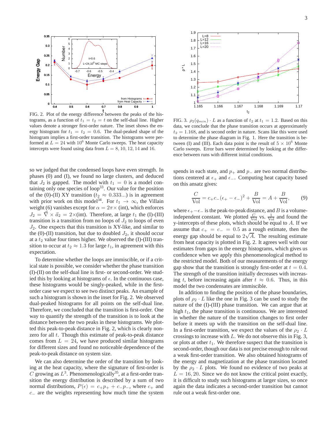

t FIG. 2. Plot of the energy difference between the peaks of the histograms, as a function of  $t_1 = t_2 = t$  on the self-dual line. Higher values denote a stronger first-order nature. The inset shows the energy histogram for  $t_1 = t_2 = 0.6$ . The dual-peaked shape of the histogram implies a first-order transition. The histograms were performed at  $L = 24$  with 10<sup>6</sup> Monte Carlo sweeps. The heat capacity intercepts were found using data from  $L = 8, 10, 12, 14$  and 16.

so we judged that the condensed loops have even strength. In phases (0) and (I), we found no large clusters, and deduced that  $J_2$  is gapped. The model with  $t_1 = 0$  is a model containing only one species of loop<sup>33</sup>. Our value for the position of the (0)-(II) XY transition ( $t_2 \approx 0.333...$ ) is in agreement with prior work on this model<sup>34</sup>. For  $t_1 \rightarrow \infty$ , the Villain weight (6) vanishes except for  $\alpha = 2\pi \times$  (int), which enforces  $J_2 = \vec{\nabla} \times \vec{a}_2 = 2 \times (int)$ . Therefore, at large  $t_1$  the (I)-(III) transition is a transition from no loops of  $J_2$  to loops of even  $J_2$ . One expects that this transition is XY-like, and similar to the (0)-(II) transition, but due to doubled  $J_2$ , it should occur at a  $t_2$  value four times higher. We observed the (I)-(III) transition to occur at  $t_2 \approx 1.3$  for large  $t_1$ , in agreement with this expectation.

To determine whether the loops are immiscible, or if a critical state is possible, we consider whether the phase transition (I)-(II) on the self-dual line is first- or second-order. We studied this by looking at histograms of  $\epsilon$ . In the continuous case, these histograms would be singly-peaked, while in the firstorder case we expect to see two distinct peaks. An example of such a histogram is shown in the inset for Fig. 2. We observed dual-peaked histograms for all points on the self-dual line. Therefore, we concluded that the transition is first-order. One way to quantify the strength of the transition is to look at the distance between the two peaks in these histograms. We plotted this peak-to-peak distance in Fig. 2, which is clearly nonzero for all t. Though this estimate of peak-to-peak distance comes from  $L = 24$ , we have produced similar histograms for different sizes and found no noticeable dependence of the peak-to-peak distance on system size.

We can also determine the order of the transition by looking at the heat capacity, where the signature of first-order is C growing as  $L^3$ . Phenomenologically<sup>35</sup>, at a first-order transition the energy distribution is described by a sum of two normal distributions,  $P(\epsilon) = c_+ p_+ + c_- p_-,$  where  $c_+$  and  $c_$  are the weights representing how much time the system



FIG. 3.  $\rho_2(q_{min}) \cdot L$  as a function of  $t_2$  at  $t_1 = 1.2$ . Based on this data, we conclude that the phase transition occurs at approximately  $t_2 = 1.168$ , and is second order in nature. Scans like this were used to determine the phase diagram in Fig. 1. Here the transition is between (I) and (III). Each data point is the result of  $5 \times 10^6$  Monte Carlo sweeps. Error bars were determined by looking at the difference between runs with different initial conditions.

spends in each state, and  $p_+$  and  $p_-$  are two normal distributions centered at  $\epsilon_+$  and  $\epsilon_-$ . Computing heat capacity based on this ansatz gives:

$$
\frac{C}{\text{Vol}} = c_+ c_- (\epsilon_+ - \epsilon_-)^2 + \frac{B}{\text{Vol}} = A + \frac{B}{\text{Vol}},\qquad(9)
$$

where  $\epsilon_+ - \epsilon_-$  is the peak-to-peak distance, and B is a volumeindependent constant. We plotted  $\frac{C}{\text{Vol}}$  vs.  $\frac{1}{\text{Vol}}$  and found the y-intercepts of these plots, which should be equal to  $A$ . If we assume that  $c_{+} = c_{-} = 0.5$  as a rough estimate, then the energy gap should be equal to  $2\sqrt{A}$ . The resulting estimate from heat capacity is plotted in Fig. 2. It agrees well with our estimates from gaps in the energy histograms, which gives us confidence when we apply this phenomenological method to the restricted model. Both of our measurements of the energy gap show that the transition is strongly first-order at  $t = 0.4$ . The strength of the transition initially decreases with increasing t, before increasing again after  $t \approx 0.6$ . Thus, in this model the two condensates are immiscible.

In addition to finding the position of the phase boundaries, plots of  $\rho_2 \cdot L$  like the one in Fig. 3 can be used to study the nature of the (I)-(III) phase transition. We can argue that at high  $t_1$ , the phase transition is continuous. We are interested in whether the nature of the transition changes to first order before it meets up with the transition on the self-dual line. In a first-order transition, we expect the values of the  $\rho_2 \cdot L$ crossings to increase with L. We do not observe this in Fig. 3, or plots at other  $t_1$ . We therefore suspect that the transition is second-order, though our data is not precise enough to rule out a weak first-order transition. We also obtained histograms of the energy and magnetization at the phase transition located by the  $\rho_2 \cdot L$  plots. We found no evidence of two peaks at  $L = 16, 20$ . Since we do not know the critical point exactly, it is difficult to study such histograms at larger sizes, so once again the data indicates a second-order transition but cannot rule out a weak first-order one.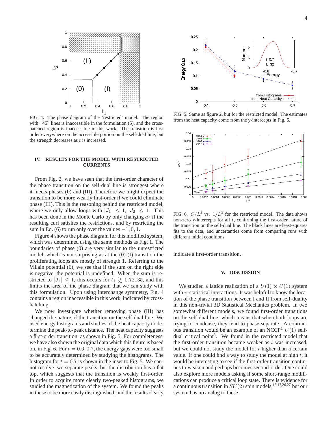

FIG. 4. The phase diagram of the 'restricted' model. The region with  $+45^\circ$  lines is inaccessible in the formulation (5), and the crosshatched region is inaccessible in this work. The transition is first order everywhere on the accessible portion on the self-dual line, but the strength decreases as  $t$  is increased.

## **IV. RESULTS FOR THE MODEL WITH RESTRICTED CURRENTS**

From Fig. 2, we have seen that the first-order character of the phase transition on the self-dual line is strongest where it meets phases (0) and (III). Therefore we might expect the transition to be more weakly first-order if we could eliminate phase (III). This is the reasoning behind the restricted model, where we only allow loops with  $|J_1| \leq 1$ ,  $|J_2| \leq 1$ . This has been done in the Monte Carlo by only changing  $a_2$  if the resulting curl satisfies the restrictions, and by restricting the sum in Eq. (6) to run only over the values  $-1, 0, 1$ .

Figure 4 shows the phase diagram for this modified system, which was determined using the same methods as Fig. 1. The boundaries of phase (0) are very similar to the unrestricted model, which is not surprising as at the (0)-(I) transition the proliferating loops are mostly of strength 1. Referring to the Villain potential (6), we see that if the sum on the right side is negative, the potential is undefined. When the sum is restricted to  $|J_1| \leq 1$ , this occurs for  $t_1 \geq 0.72135$ , and this limits the area of the phase diagram that we can study with this formulation. Upon using interchange symmetry, Fig. 4 contains a region inaccessible in this work, indicated by crosshatching.

We now investigate whether removing phase (III) has changed the nature of the transition on the self-dual line. We used energy histograms and studies of the heat capacity to determine the peak-to-peak distance. The heat capacity suggests a first-order transition, as shown in Fig. 5. For completeness, we have also shown the original data which this figure is based on, in Fig. 6. For  $t = 0.6, 0.7$ , the energy gaps were too small to be accurately determined by studying the histograms. The histogram for  $t = 0.7$  is shown in the inset to Fig. 5. We cannot resolve two separate peaks, but the distribution has a flat top, which suggests that the transition is weakly first-order. In order to acquire more clearly two-peaked histograms, we studied the magnetization of the system. We found the peaks in these to be more easily distinguished, and the results clearly



t FIG. 5. Same as figure 2, but for the restricted model. The estimates from the heat capacity come from the y-intercepts in Fig. 6.



FIG. 6.  $C/L^3$  vs.  $1/L^3$  for the restricted model. The data shows non-zero y-intercepts for all  $t$ , confirming the first-order nature of the transition on the self-dual line. The black lines are least-squares fits to the data, and uncertanties come from comparing runs with different initial conditions

indicate a first-order transition.

#### **V. DISCUSSION**

We studied a lattice realization of a  $U(1) \times U(1)$  system with  $\pi$ -statistical interactions. It was helpful to know the location of the phase transition between I and II from self-duality in this non-trivial 3D Statistical Mechanics problem. In two somewhat different models, we found first-order transitions on the self-dual line, which means that when both loops are trying to condense, they tend to phase-separate. A continuous transition would be an example of an NCCP<sup>1</sup>  $U(1)$  selfdual critical point<sup>8</sup>. We found in the restricted model that the first-order transition became weaker as  $t$  was increased, but we could not study the model for  $t$  higher than a certain value. If one could find a way to study the model at high  $t$ , it would be interesting to see if the first-order transition continues to weaken and perhaps becomes second-order. One could also explore more models asking if some short-range modifications can produce a critical loop state. There is evidence for a continuous transition in  $SU(2)$  spin models,<sup>16,17,26,27</sup> but our system has no analog to these.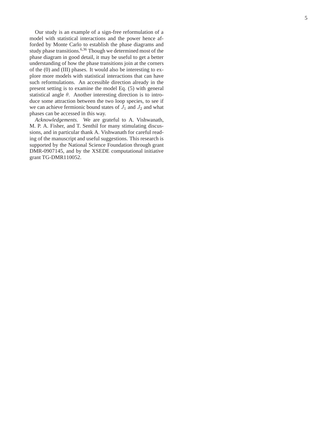Our study is an example of a sign-free reformulation of a model with statistical interactions and the power hence afforded by Monte Carlo to establish the phase diagrams and study phase transitions.<sup>6,36</sup> Though we determined most of the phase diagram in good detail, it may be useful to get a better understanding of how the phase transitions join at the corners of the (0) and (III) phases. It would also be interesting to ex plore more models with statistical interactions that can have such reformulations. An accessible direction already in th e present setting is to examine the model Eq. (5) with general statistical angle  $\theta$ . Another interesting direction is to introduce some attraction between the two loop species, to see if we can achieve fermionic bound states of  $J_1$  and  $J_2$  and what phases can be accessed in this way.

*Acknowledgements.* We are grateful to A. Vishwanath, M. P. A. Fisher, and T. Senthil for many stimulating discussions, and in particular thank A. Vishwanath for careful reading of the manuscript and useful suggestions. This research is supported by the National Science Foundation through grant DMR-0907145, and by the XSEDE computational initiative grant TG-DMR110052.